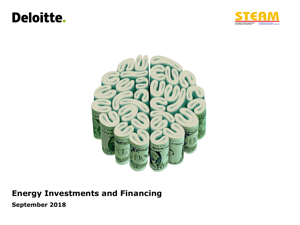## **Deloitte.**





### **Energy Investments and Financing**

**September 2018**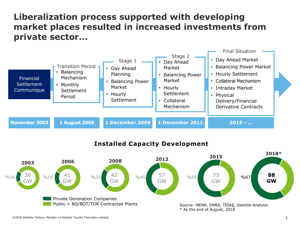### **Liberalization process supported with developing market places resulted in increased investments from private sector...**



#### **Installed Capacity Development**

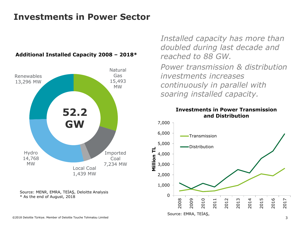## **Investments in Power Sector**





Source: MENR, EMRA, TEİAŞ, Deloitte Analysis \* As the end of August, 2018

*Installed capacity has more than doubled during last decade and reached to 88 GW. Power transmission & distribution investments increases continuously in parallel with soaring installed capacity.*

#### **Investments in Power Transmission and Distribution**

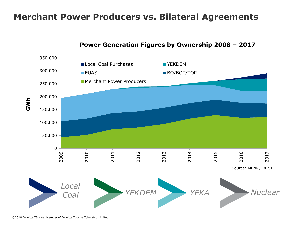### **Merchant Power Producers vs. Bilateral Agreements**



#### **Power Generation Figures by Ownership 2008 – 2017**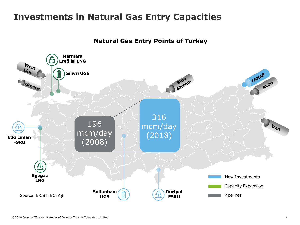### **Investments in Natural Gas Entry Capacities**

**Natural Gas Entry Points of Turkey**

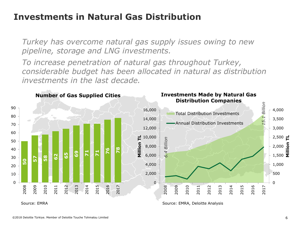### **Investments in Natural Gas Distribution**

*Turkey has overcome natural gas supply issues owing to new pipeline, storage and LNG investments.*

*To increase penetration of natural gas throughout Turkey, considerable budget has been allocated in natural as distribution investments in the last decade.*

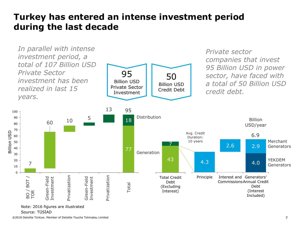### **Turkey has entered an intense investment period during the last decade**



Source: TÜSİAD

©2018 Deloitte Türkiye. Member of Deloitte Touche Tohmatsu Limited 7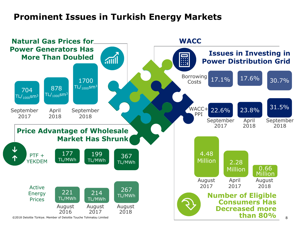### **Prominent Issues in Turkish Energy Markets**

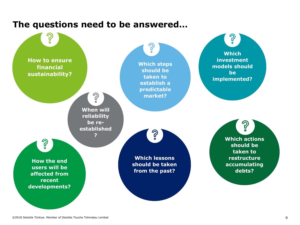

### **The questions need to be answered…**